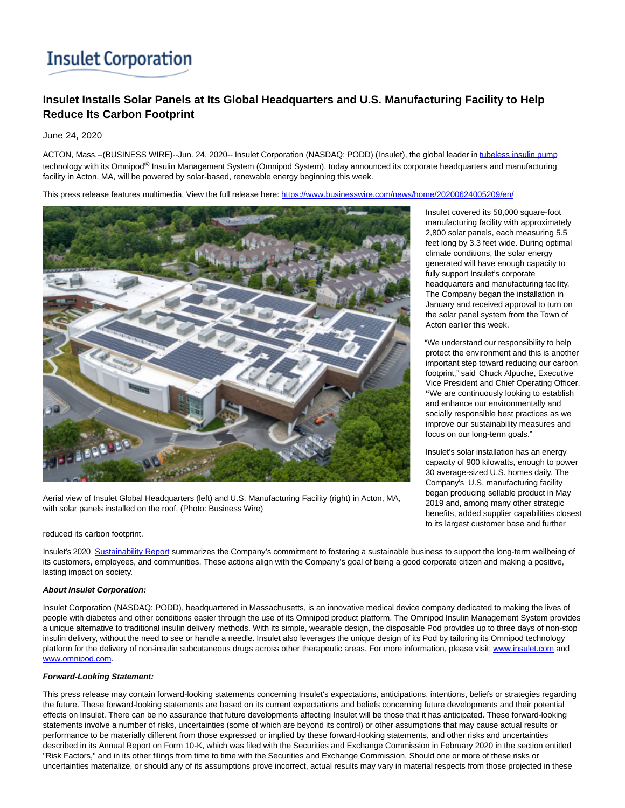# **Insulet Corporation**

# **Insulet Installs Solar Panels at Its Global Headquarters and U.S. Manufacturing Facility to Help Reduce Its Carbon Footprint**

June 24, 2020

ACTON, Mass.--(BUSINESS WIRE)--Jun. 24, 2020-- Insulet Corporation (NASDAQ: PODD) (Insulet), the global leader i[n tubeless insulin pump](https://cts.businesswire.com/ct/CT?id=smartlink&url=https%3A%2F%2Fwww.myomnipod.com%2Fhome&esheet=52240014&newsitemid=20200624005209&lan=en-US&anchor=tubeless+insulin+pump&index=1&md5=32f11418ff7fdad2472bd9ca101235d7) technology with its Omnipod<sup>®</sup> Insulin Management System (Omnipod System), today announced its corporate headquarters and manufacturing facility in Acton, MA, will be powered by solar-based, renewable energy beginning this week.

This press release features multimedia. View the full release here:<https://www.businesswire.com/news/home/20200624005209/en/>



Aerial view of Insulet Global Headquarters (left) and U.S. Manufacturing Facility (right) in Acton, MA, with solar panels installed on the roof. (Photo: Business Wire)

#### reduced its carbon footprint.

Insulet's 2020 [Sustainability Report s](https://cts.businesswire.com/ct/CT?id=smartlink&url=https%3A%2F%2Finvestor.insulet.com%2Fstatic-files%2F51c32251-f0d0-4044-af33-433a8c040fdc&esheet=52240014&newsitemid=20200624005209&lan=en-US&anchor=Sustainability+Report&index=2&md5=2e151447e094f3f960f4e498c9eb3bdf)ummarizes the Company's commitment to fostering a sustainable business to support the long-term wellbeing of its customers, employees, and communities. These actions align with the Company's goal of being a good corporate citizen and making a positive, lasting impact on society.

### **About Insulet Corporation:**

Insulet Corporation (NASDAQ: PODD), headquartered in Massachusetts, is an innovative medical device company dedicated to making the lives of people with diabetes and other conditions easier through the use of its Omnipod product platform. The Omnipod Insulin Management System provides a unique alternative to traditional insulin delivery methods. With its simple, wearable design, the disposable Pod provides up to three days of non-stop insulin delivery, without the need to see or handle a needle. Insulet also leverages the unique design of its Pod by tailoring its Omnipod technology platform for the delivery of non-insulin subcutaneous drugs across other therapeutic areas. For more information, please visit[: www.insulet.com a](https://cts.businesswire.com/ct/CT?id=smartlink&url=http%3A%2F%2Fwww.insulet.com&esheet=52240014&newsitemid=20200624005209&lan=en-US&anchor=www.insulet.com&index=3&md5=0161728966d8bf3d3f27bd76263635ad)nd [www.omnipod.com.](https://cts.businesswire.com/ct/CT?id=smartlink&url=http%3A%2F%2Fwww.omnipod.com&esheet=52240014&newsitemid=20200624005209&lan=en-US&anchor=www.omnipod.com&index=4&md5=e1897944f41340c766e7b3e85b64c4b3)

## **Forward-Looking Statement:**

This press release may contain forward-looking statements concerning Insulet's expectations, anticipations, intentions, beliefs or strategies regarding the future. These forward-looking statements are based on its current expectations and beliefs concerning future developments and their potential effects on Insulet. There can be no assurance that future developments affecting Insulet will be those that it has anticipated. These forward-looking statements involve a number of risks, uncertainties (some of which are beyond its control) or other assumptions that may cause actual results or performance to be materially different from those expressed or implied by these forward-looking statements, and other risks and uncertainties described in its Annual Report on Form 10-K, which was filed with the Securities and Exchange Commission in February 2020 in the section entitled "Risk Factors," and in its other filings from time to time with the Securities and Exchange Commission. Should one or more of these risks or uncertainties materialize, or should any of its assumptions prove incorrect, actual results may vary in material respects from those projected in these

Insulet covered its 58,000 square-foot manufacturing facility with approximately 2,800 solar panels, each measuring 5.5 feet long by 3.3 feet wide. During optimal climate conditions, the solar energy generated will have enough capacity to fully support Insulet's corporate headquarters and manufacturing facility. The Company began the installation in January and received approval to turn on the solar panel system from the Town of Acton earlier this week.

"We understand our responsibility to help protect the environment and this is another important step toward reducing our carbon footprint," said Chuck Alpuche, Executive Vice President and Chief Operating Officer. **"**We are continuously looking to establish and enhance our environmentally and socially responsible best practices as we improve our sustainability measures and focus on our long-term goals."

Insulet's solar installation has an energy capacity of 900 kilowatts, enough to power 30 average-sized U.S. homes daily. The Company's U.S. manufacturing facility began producing sellable product in May 2019 and, among many other strategic benefits, added supplier capabilities closest to its largest customer base and further